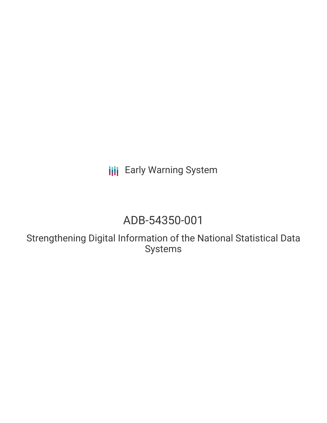**III** Early Warning System

## ADB-54350-001

Strengthening Digital Information of the National Statistical Data Systems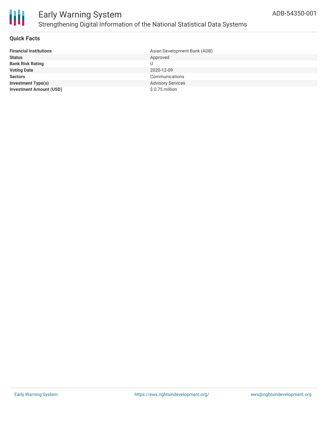

#### **Quick Facts**

| <b>Financial Institutions</b>  | Asian Development Bank (ADB) |
|--------------------------------|------------------------------|
| <b>Status</b>                  | Approved                     |
| <b>Bank Risk Rating</b>        | U                            |
| <b>Voting Date</b>             | 2020-12-09                   |
| <b>Sectors</b>                 | Communications               |
| <b>Investment Type(s)</b>      | <b>Advisory Services</b>     |
| <b>Investment Amount (USD)</b> | $$0.75$ million              |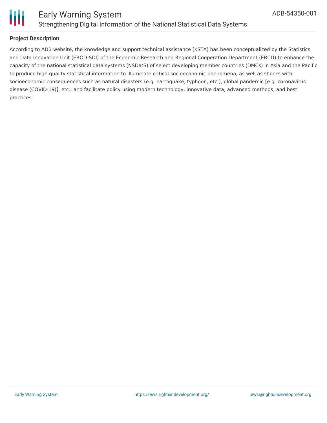

# Ш

#### **Project Description**

According to ADB website, the knowledge and support technical assistance (KSTA) has been conceptualized by the Statistics and Data Innovation Unit (EROD-SDI) of the Economic Research and Regional Cooperation Department (ERCD) to enhance the capacity of the national statistical data systems (NSDatS) of select developing member countries (DMCs) in Asia and the Pacific to produce high quality statistical information to illuminate critical socioeconomic phenomena, as well as shocks with socioeconomic consequences such as natural disasters (e.g. earthquake, typhoon, etc.), global pandemic [e.g. coronavirus disease (COVID-19)], etc.; and facilitate policy using modern technology, innovative data, advanced methods, and best practices.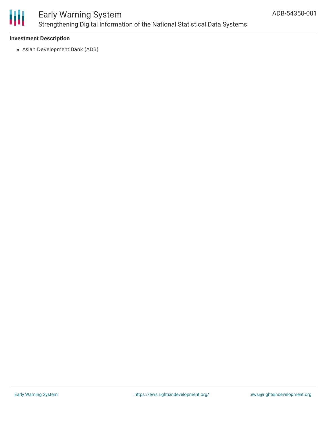

## Early Warning System Strengthening Digital Information of the National Statistical Data Systems

#### **Investment Description**

Asian Development Bank (ADB)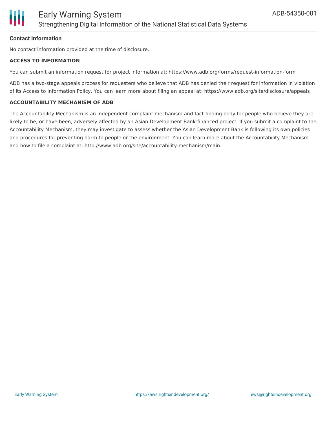

#### **Contact Information**

No contact information provided at the time of disclosure.

#### **ACCESS TO INFORMATION**

You can submit an information request for project information at: https://www.adb.org/forms/request-information-form

ADB has a two-stage appeals process for requesters who believe that ADB has denied their request for information in violation of its Access to Information Policy. You can learn more about filing an appeal at: https://www.adb.org/site/disclosure/appeals

#### **ACCOUNTABILITY MECHANISM OF ADB**

The Accountability Mechanism is an independent complaint mechanism and fact-finding body for people who believe they are likely to be, or have been, adversely affected by an Asian Development Bank-financed project. If you submit a complaint to the Accountability Mechanism, they may investigate to assess whether the Asian Development Bank is following its own policies and procedures for preventing harm to people or the environment. You can learn more about the Accountability Mechanism and how to file a complaint at: http://www.adb.org/site/accountability-mechanism/main.